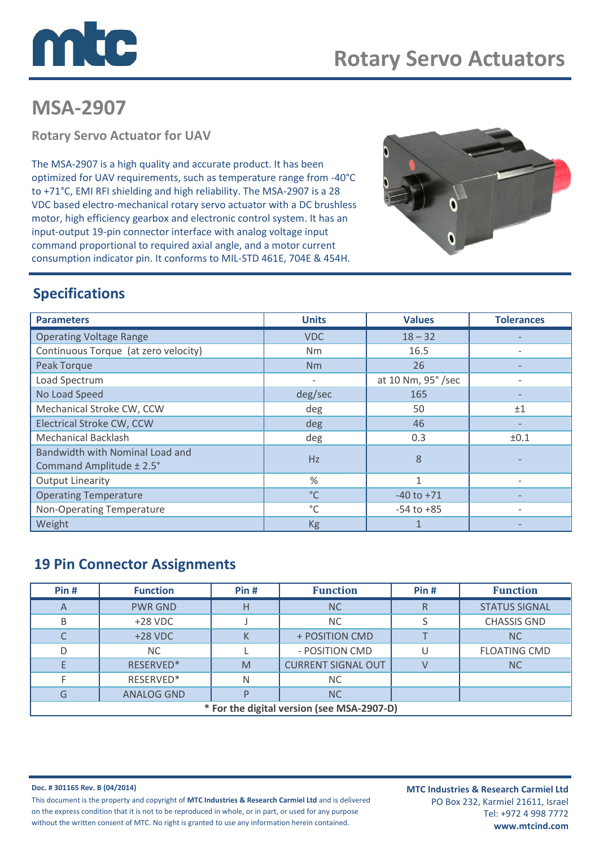

# **MSA-2907**

**Rotary Servo Actuator for UAV**

The MSA-2907 is a high quality and accurate product. It has been optimized for UAV requirements, such as temperature range from -40°C to +71°C, EMI RFI shielding and high reliability. The MSA-2907 is a 28 VDC based electro-mechanical rotary servo actuator with a DC brushless motor, high efficiency gearbox and electronic control system. It has an input-output 19-pin connector interface with analog voltage input command proportional to required axial angle, and a motor current consumption indicator pin. It conforms to MIL-STD 461E, 704E & 454H.



### **Specifications**

| <b>Parameters</b>                    | <b>Units</b>             | <b>Values</b>      | <b>Tolerances</b> |
|--------------------------------------|--------------------------|--------------------|-------------------|
| <b>Operating Voltage Range</b>       | <b>VDC</b>               | $18 - 32$          |                   |
| Continuous Torque (at zero velocity) | Nm                       | 16.5               |                   |
| Peak Torque                          | Nm                       | 26                 |                   |
| Load Spectrum                        | $\overline{\phantom{a}}$ | at 10 Nm, 95° /sec |                   |
| No Load Speed                        | deg/sec                  | 165                |                   |
| Mechanical Stroke CW, CCW            | deg                      | 50                 | ±1                |
| <b>Electrical Stroke CW, CCW</b>     | deg                      | 46                 |                   |
| <b>Mechanical Backlash</b>           | deg                      | 0.3                | ±0.1              |
| Bandwidth with Nominal Load and      | Hz                       | 8                  |                   |
| Command Amplitude ± 2.5°             |                          |                    |                   |
| <b>Output Linearity</b>              | $\frac{9}{6}$            | 1                  |                   |
| <b>Operating Temperature</b>         | $^{\circ}$ C             | $-40$ to $+71$     |                   |
| Non-Operating Temperature            | °C                       | $-54$ to $+85$     | $\qquad \qquad$   |
| Weight                               | <b>Kg</b>                | 1                  |                   |

### **19 Pin Connector Assignments**

| Pin#                                       | <b>Function</b>   | Pin# | <b>Function</b>           | Pin# | <b>Function</b>      |  |  |
|--------------------------------------------|-------------------|------|---------------------------|------|----------------------|--|--|
| A                                          | <b>PWR GND</b>    | Н    | <b>NC</b>                 | R    | <b>STATUS SIGNAL</b> |  |  |
| B                                          | $+28$ VDC         |      | <b>NC</b>                 |      | <b>CHASSIS GND</b>   |  |  |
|                                            | $+28$ VDC         |      | + POSITION CMD            |      | <b>NC</b>            |  |  |
| D                                          | <b>NC</b>         |      | - POSITION CMD            |      | <b>FLOATING CMD</b>  |  |  |
|                                            | RESERVED*         | M    | <b>CURRENT SIGNAL OUT</b> |      | <b>NC</b>            |  |  |
|                                            | RESERVED*         | N    | NC.                       |      |                      |  |  |
| G                                          | <b>ANALOG GND</b> |      | <b>NC</b>                 |      |                      |  |  |
| * For the digital version (see MSA-2907-D) |                   |      |                           |      |                      |  |  |

**Doc. # 301165 Rev. B (04/2014)** This document is the property and copyright of **MTC Industries & Research Carmiel Ltd** and is delivered on the express condition that it is not to be reproduced in whole, or in part, or used for any purpose without the written consent of MTC. No right is granted to use any information herein contained.

**MTC Industries & Research Carmiel Ltd** PO Box 232, Karmiel 21611, Israel Tel: +972 4 998 7772 **www.mtcind.com**